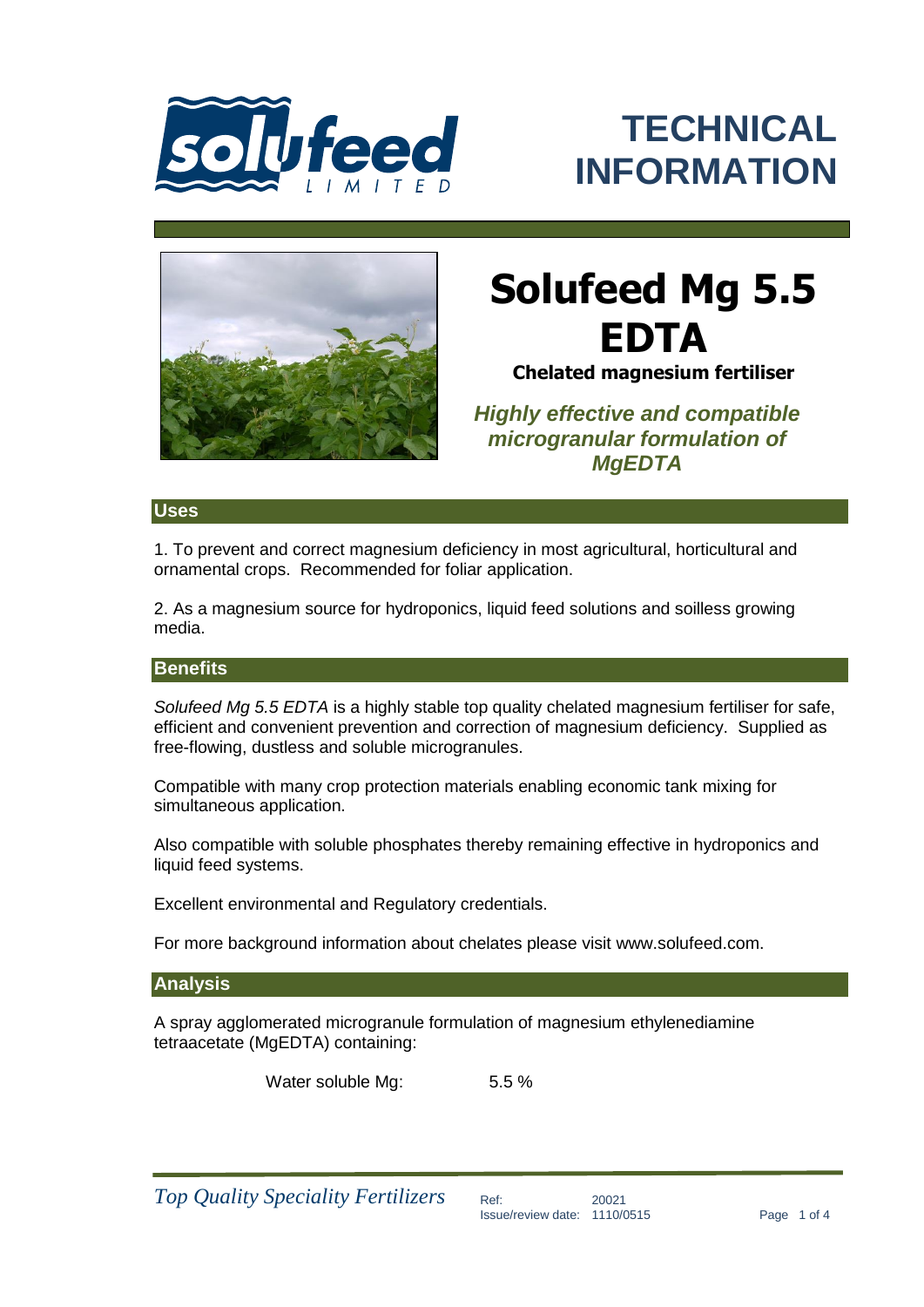

## **TECHNICAL INFORMATION**



# **Solufeed Mg 5.5 EDTA**

**Chelated magnesium fertiliser**

*Highly effective and compatible microgranular formulation of MgEDTA* 

## **Uses**

1. To prevent and correct magnesium deficiency in most agricultural, horticultural and ornamental crops. Recommended for foliar application.

2. As a magnesium source for hydroponics, liquid feed solutions and soilless growing media.

## **Benefits**

*Solufeed Mg 5.5 EDTA* is a highly stable top quality chelated magnesium fertiliser for safe, efficient and convenient prevention and correction of magnesium deficiency. Supplied as free-flowing, dustless and soluble microgranules.

Compatible with many crop protection materials enabling economic tank mixing for simultaneous application.

Also compatible with soluble phosphates thereby remaining effective in hydroponics and liquid feed systems.

Excellent environmental and Regulatory credentials.

For more background information about chelates please visit www.solufeed.com.

## **Analysis**

A spray agglomerated microgranule formulation of magnesium ethylenediamine tetraacetate (MgEDTA) containing:

Water soluble Mg: 5.5 %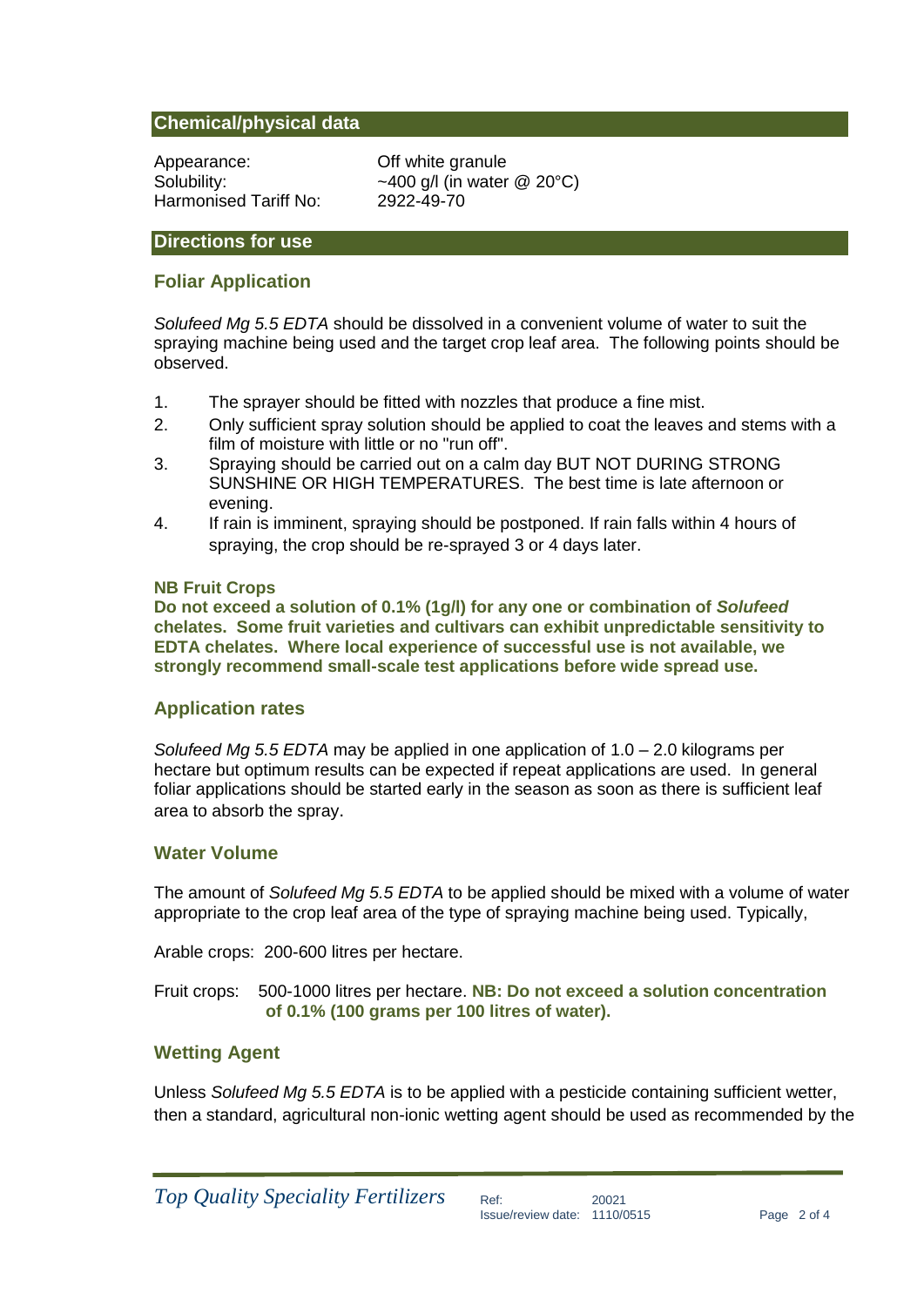## **Chemical/physical data**

Appearance: Off white granule Harmonised Tariff No: 2922-49-70

Solubility:  $\sim$ 400 g/l (in water @ 20°C)

## **Directions for use**

## **Foliar Application**

*Solufeed Mg 5.5 EDTA* should be dissolved in a convenient volume of water to suit the spraying machine being used and the target crop leaf area. The following points should be observed.

- 1. The sprayer should be fitted with nozzles that produce a fine mist.
- 2. Only sufficient spray solution should be applied to coat the leaves and stems with a film of moisture with little or no "run off".
- 3. Spraying should be carried out on a calm day BUT NOT DURING STRONG SUNSHINE OR HIGH TEMPERATURES. The best time is late afternoon or evening.
- 4. If rain is imminent, spraying should be postponed. If rain falls within 4 hours of spraying, the crop should be re-sprayed 3 or 4 days later.

#### **NB Fruit Crops**

**Do not exceed a solution of 0.1% (1g/l) for any one or combination of** *Solufeed* **chelates. Some fruit varieties and cultivars can exhibit unpredictable sensitivity to EDTA chelates. Where local experience of successful use is not available, we strongly recommend small-scale test applications before wide spread use.**

## **Application rates**

*Solufeed Mg 5.5 EDTA* may be applied in one application of 1.0 – 2.0 kilograms per hectare but optimum results can be expected if repeat applications are used. In general foliar applications should be started early in the season as soon as there is sufficient leaf area to absorb the spray.

## **Water Volume**

The amount of *Solufeed Mg 5.5 EDTA* to be applied should be mixed with a volume of water appropriate to the crop leaf area of the type of spraying machine being used. Typically,

Arable crops: 200-600 litres per hectare.

Fruit crops: 500-1000 litres per hectare. **NB: Do not exceed a solution concentration of 0.1% (100 grams per 100 litres of water).**

## **Wetting Agent**

Unless *Solufeed Mg 5.5 EDTA* is to be applied with a pesticide containing sufficient wetter, then a standard, agricultural non-ionic wetting agent should be used as recommended by the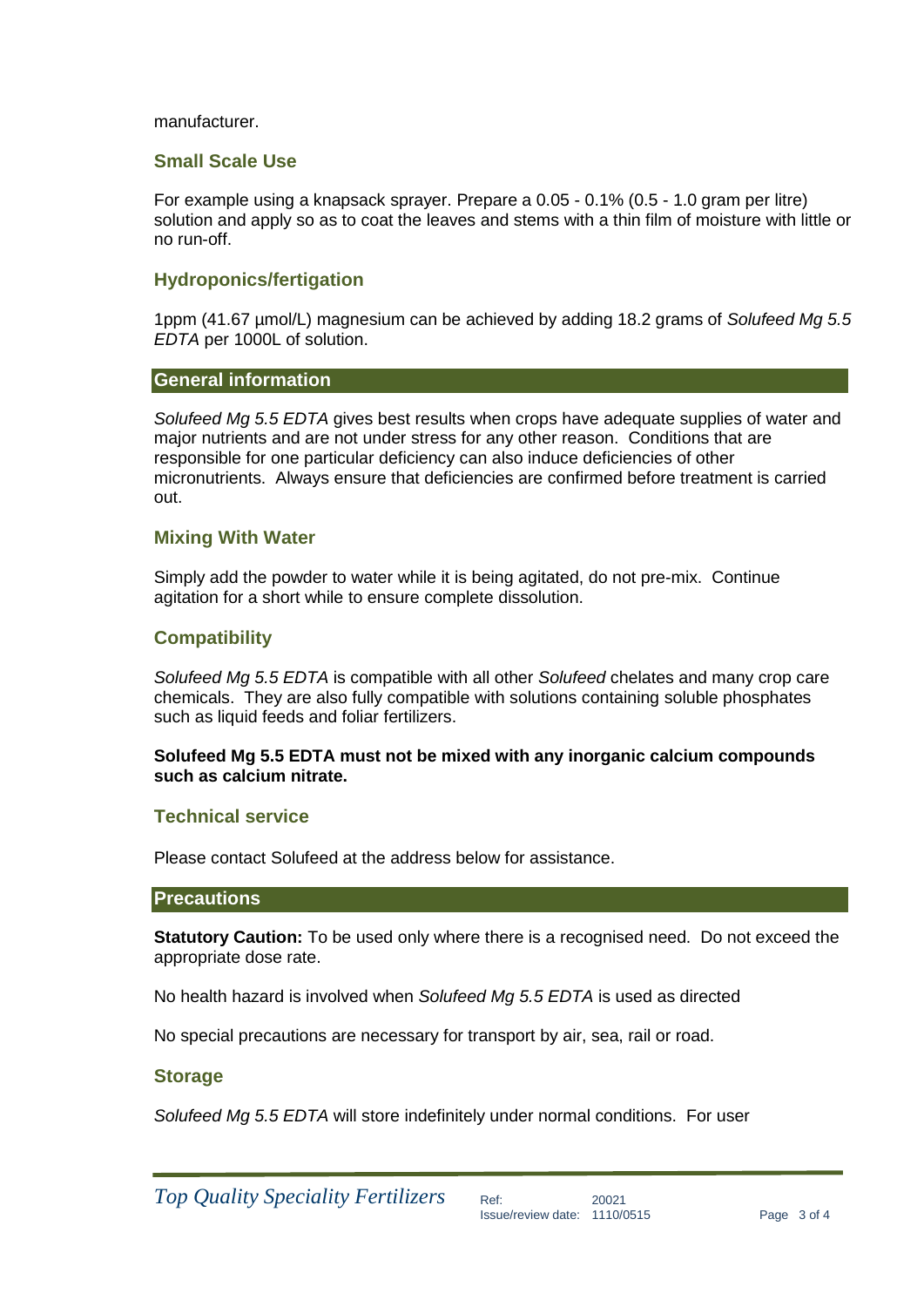#### manufacturer.

#### **Small Scale Use**

For example using a knapsack sprayer. Prepare a 0.05 - 0.1% (0.5 - 1.0 gram per litre) solution and apply so as to coat the leaves and stems with a thin film of moisture with little or no run-off.

## **Hydroponics/fertigation**

1ppm (41.67 µmol/L) magnesium can be achieved by adding 18.2 grams of *Solufeed Mg 5.5 EDTA* per 1000L of solution.

#### **General information**

*Solufeed Mg 5.5 EDTA* gives best results when crops have adequate supplies of water and major nutrients and are not under stress for any other reason. Conditions that are responsible for one particular deficiency can also induce deficiencies of other micronutrients. Always ensure that deficiencies are confirmed before treatment is carried out.

## **Mixing With Water**

Simply add the powder to water while it is being agitated, do not pre-mix. Continue agitation for a short while to ensure complete dissolution.

## **Compatibility**

*Solufeed Mg 5.5 EDTA* is compatible with all other *Solufeed* chelates and many crop care chemicals. They are also fully compatible with solutions containing soluble phosphates such as liquid feeds and foliar fertilizers.

#### **Solufeed Mg 5.5 EDTA must not be mixed with any inorganic calcium compounds such as calcium nitrate.**

#### **Technical service**

Please contact Solufeed at the address below for assistance.

#### **Precautions**

**Statutory Caution:** To be used only where there is a recognised need. Do not exceed the appropriate dose rate.

No health hazard is involved when *Solufeed Mg 5.5 EDTA* is used as directed

No special precautions are necessary for transport by air, sea, rail or road.

#### **Storage**

*Solufeed Mg 5.5 EDTA* will store indefinitely under normal conditions. For user